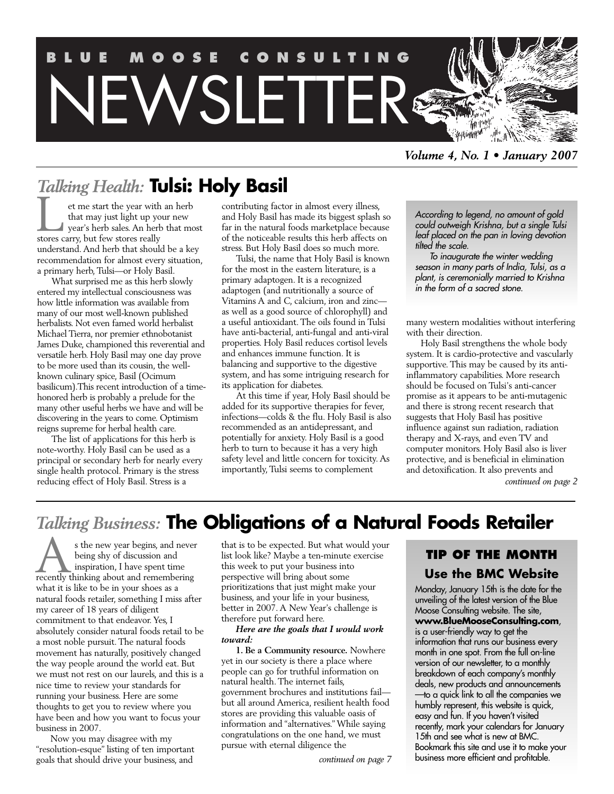

*Volume 4, No. 1 • January 2007*

# *Talking Health:* **Tulsi: Holy Basil**

et me start the year with an herb that may just light up your new year's herb sales. An herb that most Example 1 at the year with that may just light up your's herb sales. An herl<br>stores carry, but few stores really understand. And herb that should be a key recommendation for almost every situation, a primary herb, Tulsi—or Holy Basil.

What surprised me as this herb slowly entered my intellectual consciousness was how little information was available from many of our most well-known published herbalists. Not even famed world herbalist Michael Tierra, nor premier ethnobotanist James Duke, championed this reverential and versatile herb. Holy Basil may one day prove to be more used than its cousin, the wellknown culinary spice, Basil (Ocimum basilicum).This recent introduction of a timehonored herb is probably a prelude for the many other useful herbs we have and will be discovering in the years to come. Optimism reigns supreme for herbal health care.

The list of applications for this herb is note-worthy. Holy Basil can be used as a principal or secondary herb for nearly every single health protocol. Primary is the stress reducing effect of Holy Basil. Stress is a

contributing factor in almost every illness, and Holy Basil has made its biggest splash so far in the natural foods marketplace because of the noticeable results this herb affects on stress. But Holy Basil does so much more.

Tulsi, the name that Holy Basil is known for the most in the eastern literature, is a primary adaptogen. It is a recognized adaptogen (and nutritionally a source of Vitamins A and C, calcium, iron and zinc as well as a good source of chlorophyll) and a useful antioxidant. The oils found in Tulsi have anti-bacterial, anti-fungal and anti-viral properties. Holy Basil reduces cortisol levels and enhances immune function. It is balancing and supportive to the digestive system, and has some intriguing research for its application for diabetes.

At this time if year, Holy Basil should be added for its supportive therapies for fever, infections—colds & the flu. Holy Basil is also recommended as an antidepressant, and potentially for anxiety. Holy Basil is a good herb to turn to because it has a very high safety level and little concern for toxicity. As importantly, Tulsi seems to complement

*According to legend, no amount of gold could outweigh Krishna, but a single Tulsi leaf placed on the pan in loving devotion tilted the scale.*

*To inaugurate the winter wedding season in many parts of India, Tulsi, as a plant, is ceremonially married to Krishna in the form of a sacred stone.*

many western modalities without interfering with their direction.

Holy Basil strengthens the whole body system. It is cardio-protective and vascularly supportive. This may be caused by its antiinflammatory capabilities. More research should be focused on Tulsi's anti-cancer promise as it appears to be anti-mutagenic and there is strong recent research that suggests that Holy Basil has positive influence against sun radiation, radiation therapy and X-rays, and even TV and computer monitors. Holy Basil also is liver protective, and is beneficial in elimination and detoxification. It also prevents and

*continued on page 2*

# *Talking Business:* **The Obligations of a Natural Foods Retailer**

s the new year begins, and never being shy of discussion and inspiration, I have spent time s the new year begins, and never being shy of discussion and inspiration, I have spent time recently thinking about and remembering what it is like to be in your shoes as a natural foods retailer, something I miss after my career of 18 years of diligent commitment to that endeavor. Yes, I absolutely consider natural foods retail to be a most noble pursuit. The natural foods movement has naturally, positively changed the way people around the world eat. But we must not rest on our laurels, and this is a nice time to review your standards for running your business. Here are some thoughts to get you to review where you have been and how you want to focus your business in 2007.

Now you may disagree with my "resolution-esque" listing of ten important goals that should drive your business, and

that is to be expected. But what would your list look like? Maybe a ten-minute exercise this week to put your business into perspective will bring about some prioritizations that just might make your business, and your life in your business, better in 2007. A New Year's challenge is therefore put forward here.

*Here are the goals that I would work toward:*

**1. Be a Community resource.** Nowhere yet in our society is there a place where people can go for truthful information on natural health. The internet fails, government brochures and institutions fail but all around America, resilient health food stores are providing this valuable oasis of information and "alternatives." While saying congratulations on the one hand, we must pursue with eternal diligence the

# **TIP OF THE MONTH Use the BMC Website**

Monday, January 15th is the date for the unveiling of the latest version of the Blue Moose Consulting website. The site, **www.BlueMooseConsulting.com**, is a user-friendly way to get the information that runs our business every month in one spot. From the full on-line version of our newsletter, to a monthly breakdown of each company's monthly deals, new products and announcements —to a quick link to all the companies we humbly represent, this website is quick, easy and fun. If you haven't visited recently, mark your calendars for January 15th and see what is new at BMC. Bookmark this site and use it to make your business more efficient and profitable.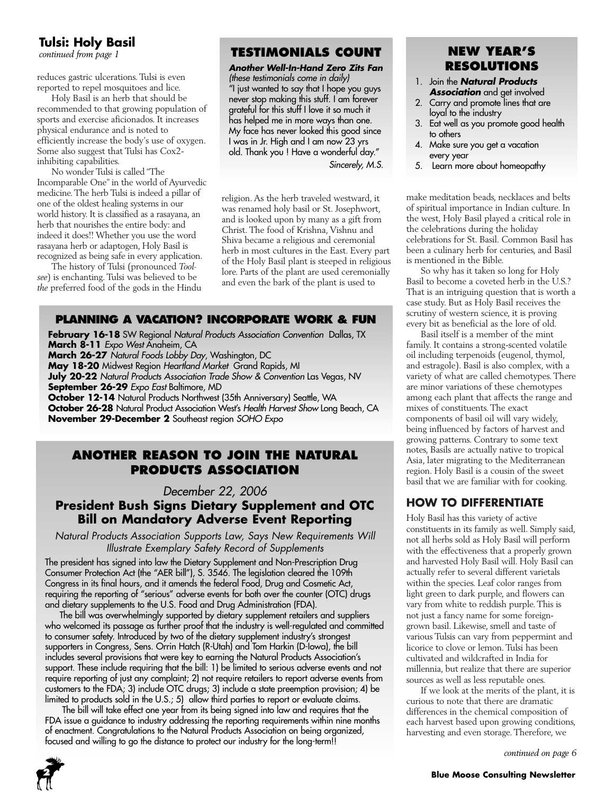# **Tulsi: Holy Basil**

*continued from page 1*

reduces gastric ulcerations. Tulsi is even reported to repel mosquitoes and lice.

Holy Basil is an herb that should be recommended to that growing population of sports and exercise aficionados. It increases physical endurance and is noted to efficiently increase the body's use of oxygen. Some also suggest that Tulsi has Cox2 inhibiting capabilities.

No wonder Tulsi is called "The Incomparable One" in the world of Ayurvedic medicine. The herb Tulsi is indeed a pillar of one of the oldest healing systems in our world history. It is classified as a rasayana, an herb that nourishes the entire body: and indeed it does!! Whether you use the word rasayana herb or adaptogen, Holy Basil is recognized as being safe in every application.

The history of Tulsi (pronounced *Toolsee*) is enchanting. Tulsi was believed to be *the* preferred food of the gods in the Hindu

# **TESTIMONIALS COUNT**

*Another Well-In-Hand Zero Zits Fan (these testimonials come in daily)* "I just wanted to say that I hope you guys never stop making this stuff. I am forever grateful for this stuff I love it so much it has helped me in more ways than one. My face has never looked this good since I was in Jr. High and I am now 23 yrs old. Thank you ! Have a wonderful day."

*Sincerely, M.S.* 

religion. As the herb traveled westward, it was renamed holy basil or St. Josephwort, and is looked upon by many as a gift from Christ. The food of Krishna, Vishnu and Shiva became a religious and ceremonial herb in most cultures in the East. Every part of the Holy Basil plant is steeped in religious lore. Parts of the plant are used ceremonially and even the bark of the plant is used to

# **PLANNING A VACATION? INCORPORATE WORK & FUN**

**February 16-18** SW Regional *Natural Products Association Convention* Dallas, TX **March 8-11** *Expo West* Anaheim, CA **March 26-27** *Natural Foods Lobby Day*, Washington, DC **May 18-20** Midwest Region *Heartland Market* Grand Rapids, MI **July 20-22** *Natural Products Association Trade Show & Convention* Las Vegas, NV **September 26-29** *Expo East* Baltimore, MD **October 12-14** Natural Products Northwest (35th Anniversary) Seattle, WA **October 26-28** Natural Product Association West's *Health Harvest Show* Long Beach, CA **November 29-December 2** Southeast region *SOHO Expo*

# **ANOTHER REASON TO JOIN THE NATURAL PRODUCTS ASSOCIATION**

*December 22, 2006* 

# **President Bush Signs Dietary Supplement and OTC Bill on Mandatory Adverse Event Reporting**

*Natural Products Association Supports Law, Says New Requirements Will Illustrate Exemplary Safety Record of Supplements*

The president has signed into law the Dietary Supplement and Non-Prescription Drug Consumer Protection Act (the "AER bill"), S. 3546. The legislation cleared the 109th Congress in its final hours, and it amends the federal Food, Drug and Cosmetic Act, requiring the reporting of "serious" adverse events for both over the counter (OTC) drugs and dietary supplements to the U.S. Food and Drug Administration (FDA).

The bill was overwhelmingly supported by dietary supplement retailers and suppliers who welcomed its passage as further proof that the industry is well-regulated and committed to consumer safety. Introduced by two of the dietary supplement industry's strongest supporters in Congress, Sens. Orrin Hatch (R-Utah) and Tom Harkin (D-Iowa), the bill includes several provisions that were key to earning the Natural Products Association's support. These include requiring that the bill: 1) be limited to serious adverse events and not require reporting of just any complaint; 2) not require retailers to report adverse events from customers to the FDA; 3) include OTC drugs; 3) include a state preemption provision; 4) be limited to products sold in the U.S.; 5) allow third parties to report or evaluate claims.

The bill will take effect one year from its being signed into law and requires that the FDA issue a guidance to industry addressing the reporting requirements within nine months of enactment. Congratulations to the Natural Products Association on being organized, focused and willing to go the distance to protect our industry for the long-term!!



# **NEW YEAR'S RESOLUTIONS**

- 1. Join the *Natural Products Association* and get involved
- 2. Carry and promote lines that are loyal to the industry
- 3. Eat well as you promote good health to others
- 4. Make sure you get a vacation every year
- 5. Learn more about homeopathy

make meditation beads, necklaces and belts of spiritual importance in Indian culture. In the west, Holy Basil played a critical role in the celebrations during the holiday celebrations for St. Basil. Common Basil has been a culinary herb for centuries, and Basil is mentioned in the Bible.

So why has it taken so long for Holy Basil to become a coveted herb in the U.S.? That is an intriguing question that is worth a case study. But as Holy Basil receives the scrutiny of western science, it is proving every bit as beneficial as the lore of old.

Basil itself is a member of the mint family. It contains a strong-scented volatile oil including terpenoids (eugenol, thymol, and estragole). Basil is also complex, with a variety of what are called chemotypes. There are minor variations of these chemotypes among each plant that affects the range and mixes of constituents. The exact components of basil oil will vary widely, being influenced by factors of harvest and growing patterns. Contrary to some text notes, Basils are actually native to tropical Asia, later migrating to the Mediterranean region. Holy Basil is a cousin of the sweet basil that we are familiar with for cooking.

# **HOW TO DIFFERENTIATE**

Holy Basil has this variety of active constituents in its family as well. Simply said, not all herbs sold as Holy Basil will perform with the effectiveness that a properly grown and harvested Holy Basil will. Holy Basil can actually refer to several different varietals within the species. Leaf color ranges from light green to dark purple, and flowers can vary from white to reddish purple. This is not just a fancy name for some foreigngrown basil. Likewise, smell and taste of various Tulsis can vary from peppermint and licorice to clove or lemon. Tulsi has been cultivated and wildcrafted in India for millennia, but realize that there are superior sources as well as less reputable ones.

If we look at the merits of the plant, it is curious to note that there are dramatic differences in the chemical composition of each harvest based upon growing conditions, harvesting and even storage. Therefore, we

*continued on page 6*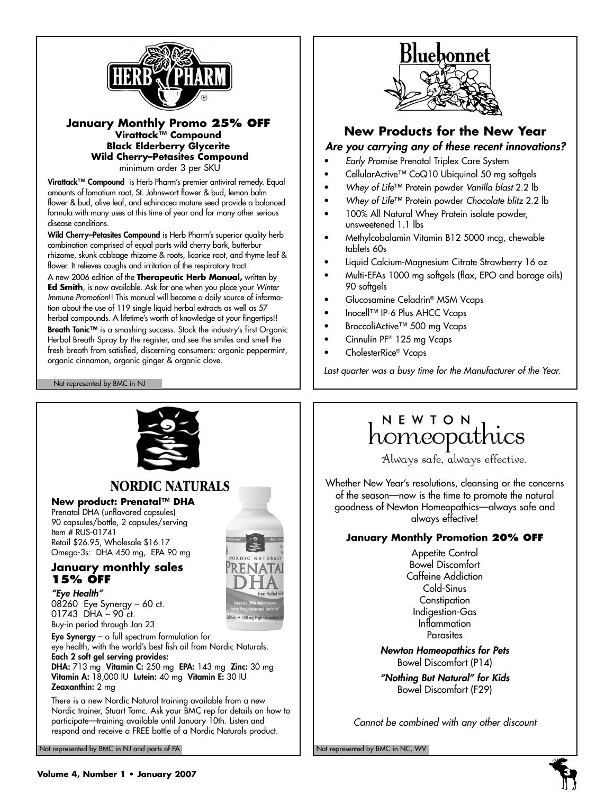

### **January Monthly Promo 25% OFF Virattack™ Compound Black Elderberry Glycerite Wild Cherry–Petasites Compound**  minimum order 3 per SKU

**Virattack™ Compound** is Herb Pharm's premier antiviral remedy. Equal amounts of lomatium root, St. Johnswort flower & bud, lemon balm flower & bud, olive leaf, and echinacea mature seed provide a balanced formula with many uses at this time of year and for many other serious disease conditions.

Wild Cherry-Petasites Compound is Herb Pharm's superior quality herb combination comprised of equal parts wild cherry bark, butterbur rhizome, skunk cabbage rhizome & roots, licorice root, and thyme leaf & flower. It relieves coughs and irritation of the respiratory tract.

A new 2006 edition of the **Therapeutic Herb Manual,** written by **Ed Smith**, is now available. Ask for one when you place your *Winter Immune Promotion*!! This manual will become a daily source of information about the use of 119 single liquid herbal extracts as well as 57 herbal compounds. A lifetime's worth of knowledge at your fingertips!! **Breath Tonic™** is a smashing success. Stock the industry's first Organic Herbal Breath Spray by the register, and see the smiles and smell the fresh breath from satisfied, discerning consumers: organic peppermint, organic cinnamon, organic ginger & organic clove.

### Not represented by BMC in NJ

*"Eye Health"*



# **New Products for the New Year**

## *Are you carrying any of these recent innovations?*

- *Early Promise* Prenatal Triplex Care System
- CellularActive™ CoQ10 Ubiquinol 50 mg softgels
- *Whey of Life*™ Protein powder *Vanilla blast* 2.2 lb
- *Whey of Life*™ Protein powder *Chocolate blitz* 2.2 lb
- 100% All Natural Whey Protein isolate powder, unsweetened 1.1 lbs
- Methylcobalamin Vitamin B12 5000 mcg, chewable tablets 60s
- Liquid Calcium-Magnesium Citrate Strawberry 16 oz
- Multi-EFAs 1000 mg softgels (flax, EPO and borage oils) 90 softgels
- Glucosamine Celadrin® MSM Vcaps
- Inocell™ IP-6 Plus AHCC Vcaps
- BroccoliActive™ 500 mg Vcaps
- Cinnulin PF® 125 mg Vcaps
- CholesterRice® Vcaps

*Last quarter was a busy time for the Manufacturer of the Year.*



# NEWION<br>homeopathics

Always safe, always effective.

Whether New Year's resolutions, cleansing or the concerns of the season—now is the time to promote the natural goodness of Newton Homeopathics—always safe and always effective!

# **January Monthly Promotion 20% OFF**

Appetite Control Bowel Discomfort Caffeine Addiction Cold-Sinus **Constipation** Indigestion-Gas Inflammation **Parasites** 

*Newton Homeopathics for Pets*  Bowel Discomfort (P14)

*"Nothing But Natural" for Kids* Bowel Discomfort (F29)

*Cannot be combined with any other discount*

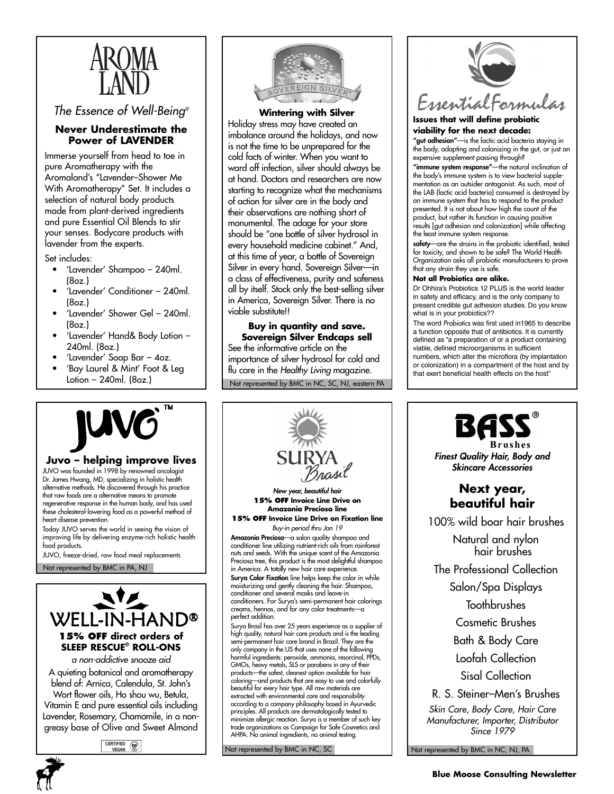

*The Essence of Well-Being®*

## **Never Underestimate the Power of LAVENDER**

Immerse yourself from head to toe in pure Aromatherapy with the Aromaland's "Lavender–Shower Me With Aromatherapy" Set. It includes a selection of natural body products made from plant-derived ingredients and pure Essential Oil Blends to stir your senses. Bodycare products with lavender from the experts.

Set includes:

- 'Lavender' Shampoo 240ml. (8oz.)
- 'Lavender' Conditioner 240ml. (8oz.)
- 'Lavender' Shower Gel 240ml. (8oz.)
- 'Lavender' Hand& Body Lotion 240ml. (8oz.)
- 'Lavender' Soap Bar 4oz.
- 'Bay Laurel & Mint' Foot & Leg Lotion – 240ml. (8oz.)



**Wintering with Silver** Holiday stress may have created an imbalance around the holidays, and now is not the time to be unprepared for the cold facts of winter. When you want to ward off infection, silver should always be at hand. Doctors and researchers are now starting to recognize what the mechanisms of action for silver are in the body and their observations are nothing short of monumental. The adage for your store should be "one bottle of silver hydrosol in every household medicine cabinet." And, at this time of year, a bottle of Sovereign Silver in every hand. Sovereign Silver—in a class of effectiveness, purity and safeness all by itself. Stock only the best-selling silver in America, Sovereign Silver. There is no viable substitute!!

Not represented by BMC in NC, SC, NJ, eastern PA **Buy in quantity and save. Sovereign Silver Endcaps sell** See the informative article on the importance of silver hydrosol for cold and flu care in the *Healthy Living* magazine.



### **Issues that will define probiotic viability for the next decade:**

**"gut adhesion"**—is the lactic acid bacteria staying in the body, adapting and colonizing in the gut, or just an expensive supplement passing through?

**"immune system response"**—the natural inclination of the body's immune system is to view bacterial supplementation as an outsider antagonist. As such, most of the LAB (lactic acid bacteria) consumed is destroyed by an immune system that has to respond to the product presented. It is not about how high the count of the product, but rather its function in causing positive results [gut adhesion and colonization] while affecting the least immune system response.

**safety**—are the strains in the probiotic identified, tested for toxicity, and shown to be safe? The World Health Organization asks all probiotic manufacturers to prove that any strain they use is safe.

### **Not all Probiotics are alike.**

Dr Ohhira's Probiotics 12 PLUS is the world leader in safety and efficacy, and is the only company to present credible gut adhesion studies. Do you know what is in your probiotics??

The word *Probiotics* was first used in1965 to describe a function opposite that of antibiotics. It is currently defined as "a preparation of or a product containing viable, defined microorganisms in sufficient numbers, which alter the microflora (by implantation or colonization) in a compartment of the host and by that exert beneficial health effects on the host"



# **SURYA**<br>In the structure of the server of the server of the server of the server of the server of the server of the server of the server of the server of the server of the server of the server of the server of the server o

JUVO was founded in 1998 by renowned oncologist Dr. James Hwang, MD, specializing in holistic health alternative methods. He discovered through his practice that raw foods are a alternative means to promote regenerative response in the human body, and has used these cholesterol-lowering food as a powerful method of heart disease prevention.

Today JUVO serves the world in seeing the vision of improving life by delivering enzyme-rich holistic health food products.

Not represented by BMC in PA, NJ JUVO, freeze-dried, raw food meal replacements



*a non-addictive snooze aid* A quieting botanical and aromatherapy blend of: Arnica, Calendula, St. John's Wort flower oils, Ho shou wu, Betula, Vitamin E and pure essential oils including Lavender, Rosemary, Chamomile, in a nongreasy base of Olive and Sweet Almond

CERTIFIED (VEGAN



*New year, beautiful hair* **15% OFF Invoice Line Drive on Amazonia Preciosa line**

**15% OFF Invoice Line Drive on Fixation line**

*Buy-in period thru Jan 19*  **Amazonia Preciosa**—a salon quality shampoo and conditioner line utilizing nutrient-rich oils from rainforest nuts and seeds. With the unique scent of the Amazonia Preciosa tree, this product is the most delightful shampoo in America. A totally new hair care experience. **Surya Color Fixation** line helps keep the color in while moisturizing and gently cleaning the hair. Shampoo, conditioner and several masks and leave-in conditioners. For Surya's semi-permanent hair colorings creams, hennas, and for any color treatments—a perfect addition.

Surya Brasil has over 25 years experience as a supplier of high quality, natural hair care products and is the leading semi-permanent hair care brand in Brazil. They are the only company in the US that uses none of the following harmful ingredients: peroxide, ammonia, resorcinol, PPDs, GMOs, heavy metals, SLS or parabens in any of their products—the safest, cleanest option available for hair coloring—and products that are easy to use and colorfully beautiful for every hair type. All raw materials are extracted with environmental care and responsibility according to a company philosophy based in Ayurvedic principles. All products are dermatologically tested to minimize allergic reaction. Surya is a member of such key trade organizations as Campaign for Safe Cosmetics and AHPA. No animal ingredients, no animal testing.

Not represented by BMC in NC, SC



100% wild boar hair brushes

Natural and nylon hair brushes

The Professional Collection

Salon/Spa Displays

**Toothbrushes** 

Cosmetic Brushes

Bath & Body Care

Loofah Collection

Sisal Collection

R. S. Steiner–Men's Brushes

*Skin Care, Body Care, Hair Care Manufacturer, Importer, Distributor Since 1979*

Not represented by BMC in NC, NJ, PA

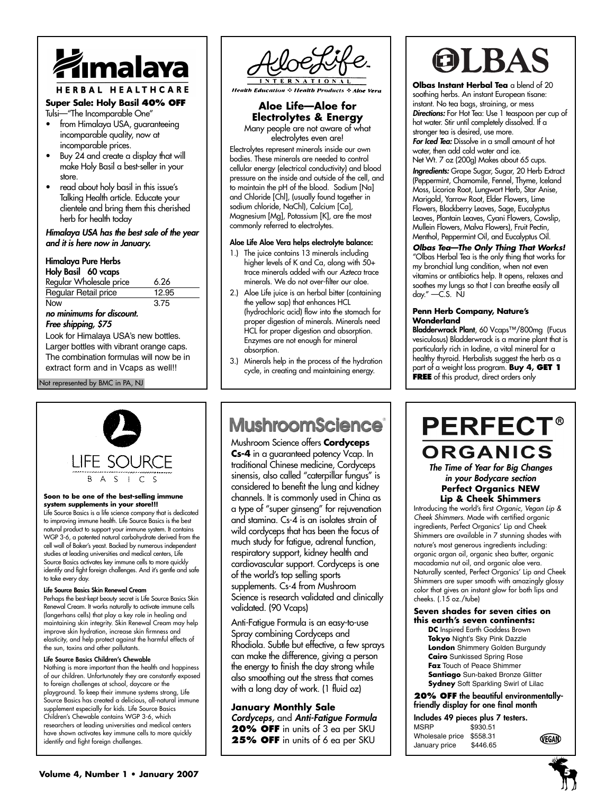

# HERBAL HEALTHCARE

### **Super Sale: Holy Basil 40% OFF** Tulsi—"The Incomparable One"

- from Himalaya USA, quaranteeing incomparable quality, now at incomparable prices.
- Buy 24 and create a display that will make Holy Basil a best-seller in your store.
- read about holy basil in this issue's Talking Health article. Educate your clientele and bring them this cherished herb for health today

### *Himalaya USA has the best sale of the year and it is here now in January.*

### **Himalaya Pure Herbs**

| Holy Basil 60 vcaps                      |       |  |  |
|------------------------------------------|-------|--|--|
| Regular Wholesale price                  | 6.26  |  |  |
| <b>Regular Retail price</b>              | 12.95 |  |  |
| Now                                      | 3.75  |  |  |
| no minimums for discount.                |       |  |  |
| Free shipping, \$75                      |       |  |  |
| Look for Himalaya USA's new bottles.     |       |  |  |
| Larger bottles with vibrant orange caps. |       |  |  |
| The combination formulas will now be in  |       |  |  |
| extract form and in Vcaps as well!!      |       |  |  |

### Not represented by BMC in PA, NJ



### **Soon to be one of the best-selling immune system supplements in your store!!!**

Life Source Basics is a life science company that is dedicated to improving immune health. Life Source Basics is the best natural product to support your immune system. It contains WGP 3-6, a patented natural carbohydrate derived from the cell wall of Baker's yeast. Backed by numerous independent studies at leading universities and medical centers, Life Source Basics activates key immune cells to more quickly identify and fight foreign challenges. And it's gentle and safe to take every day.

### **Life Source Basics Skin Renewal Cream**

Perhaps the best-kept beauty secret is Life Source Basics Skin Renewal Cream. It works naturally to activate immune cells (langerhans cells) that play a key role in healing and maintaining skin integrity. Skin Renewal Cream may help improve skin hydration, increase skin firmness and elasticity, and help protect against the harmful effects of the sun, toxins and other pollutants.

### **Life Source Basics Children's Chewable**

Nothing is more important than the health and happiness of our children. Unfortunately they are constantly exposed to foreign challenges at school, daycare or the playground. To keep their immune systems strong, Life Source Basics has created a delicious, all-natural immune supplement especially for kids. Life Source Basics Children's Chewable contains WGP 3-6, which researchers at leading universities and medical centers have shown activates key immune cells to more quickly identify and fight foreign challenges.



**Health Education & Health Products & Aloe Vera** 

# **Aloe Life—Aloe for Electrolytes & Energy**

Many people are not aware of what electrolytes even are!

Electrolytes represent minerals inside our own bodies. These minerals are needed to control cellular energy (electrical conductivity) and blood pressure on the inside and outside of the cell, and to maintain the pH of the blood. Sodium [Na] and Chloride [Chl], (usually found together in sodium chloride, NaChl), Calcium [Ca], Magnesium [Mg], Potassium [K], are the most commonly referred to electrolytes.

### **Aloe Life Aloe Vera helps electrolyte balance:**

- 1.) The juice contains 13 minerals including higher levels of K and Ca, along with 50+ trace minerals added with our *Azteca* trace minerals. We do not over-filter our aloe.
- 2.) Aloe Life juice is an herbal bitter (containing the yellow sap) that enhances HCL (hydrochloric acid) flow into the stomach for proper digestion of minerals. Minerals need HCL for proper digestion and absorption. Enzymes are not enough for mineral absorption.
- 3.) Minerals help in the process of the hydration cycle, in creating and maintaining energy.

# **MushroomScience**

Mushroom Science offers **Cordyceps Cs-4** in a guaranteed potency Vcap. In traditional Chinese medicine, Cordyceps sinensis, also called "caterpillar fungus" is considered to benefit the lung and kidney channels. It is commonly used in China as a type of "super ginseng" for rejuvenation and stamina. Cs-4 is an isolates strain of wild cordyceps that has been the focus of much study for fatigue, adrenal function, respiratory support, kidney health and cardiovascular support. Cordyceps is one of the world's top selling sports supplements. Cs-4 from Mushroom Science is research validated and clinically validated. (90 Vcaps)

Anti-Fatigue Formula is an easy-to-use Spray combining Cordyceps and Rhodiola. Subtle but effective, a few sprays can make the difference, giving a person the energy to finish the day strong while also smoothing out the stress that comes with a long day of work. (1 fluid oz)

## **January Monthly Sale**

*Cordyceps,* and *Anti-Fatigue Formula* **20% OFF** in units of 3 ea per SKU **25% OFF** in units of 6 ea per SKU

# OLBA

**Olbas Instant Herbal Tea** a blend of 20 soothing herbs. An instant European tisane: instant. No tea bags, straining, or mess *Directions:* For Hot Tea: Use 1 teaspoon per cup of hot water. Stir until completely dissolved. If a stronger tea is desired, use more. *For Iced Tea:* Dissolve in a small amount of hot

water, then add cold water and ice. Net Wt. 7 oz (200g) Makes about 65 cups.

*Ingredients:* Grape Sugar, Sugar, 20 Herb Extract (Peppermint, Chamomile, Fennel, Thyme, Iceland Moss, Licorice Root, Lungwort Herb, Star Anise, Marigold, Yarrow Root, Elder Flowers, Lime Flowers, Blackberry Leaves, Sage, Eucalyptus Leaves, Plantain Leaves, Cyani Flowers, Cowslip, Mullein Flowers, Malva Flowers), Fruit Pectin, Menthol, Peppermint Oil, and Eucalyptus Oil.

*Olbas Tea—The Only Thing That Works!* "Olbas Herbal Tea is the only thing that works for my bronchial lung condition, when not even vitamins or antibiotics help. It opens, relaxes and soothes my lungs so that I can breathe easily all day." —C.S. NJ

### **Penn Herb Company, Nature's Wonderland**

**Bladderwrack Plant**, 60 Vcaps™/800mg (Fucus vesiculosus) Bladderwrack is a marine plant that is particularly rich in Iodine, a vital mineral for a healthy thyroid. Herbalists suggest the herb as a part of a weight loss program. **Buy 4, GET 1 FREE** of this product, direct orders only

# **PERFECT®** ORGANICS

*The Time of Year for Big Changes in your Bodycare section* **Perfect Organics NEW Lip & Cheek Shimmers**

Introducing the world's first *Organic, Vegan Lip & Cheek Shimmers*. Made with certified organic ingredients, Perfect Organics' Lip and Cheek Shimmers are available in 7 stunning shades with nature's most generous ingredients including: organic argan oil, organic shea butter, organic macadamia nut oil, and organic aloe vera. Naturally scented, Perfect Organics' Lip and Cheek Shimmers are super smooth with amazingly glossy color that gives an instant glow for both lips and cheeks. (.15 oz./tube)

### **Seven shades for seven cities on this earth's seven continents:**

**DC** Inspired Earth Goddess Brown **Tokyo** Night's Sky Pink Dazzle **London** Shimmery Golden Burgundy **Cairo** Sunkissed Spring Rose **Faz** Touch of Peace Shimmer **Santiago** Sun-baked Bronze Glitter **Sydney** Soft Sparkling Swirl of Lilac

**20% OFF the beautiful environmentallyfriendly display for one final month**

|                          | Includes 49 pieces plus 7 testers. |              |
|--------------------------|------------------------------------|--------------|
| <b>MSRP</b>              | \$930.51                           |              |
| Wholesale price \$558.31 |                                    | <b>VEGAN</b> |
| January price            | \$446.65                           |              |

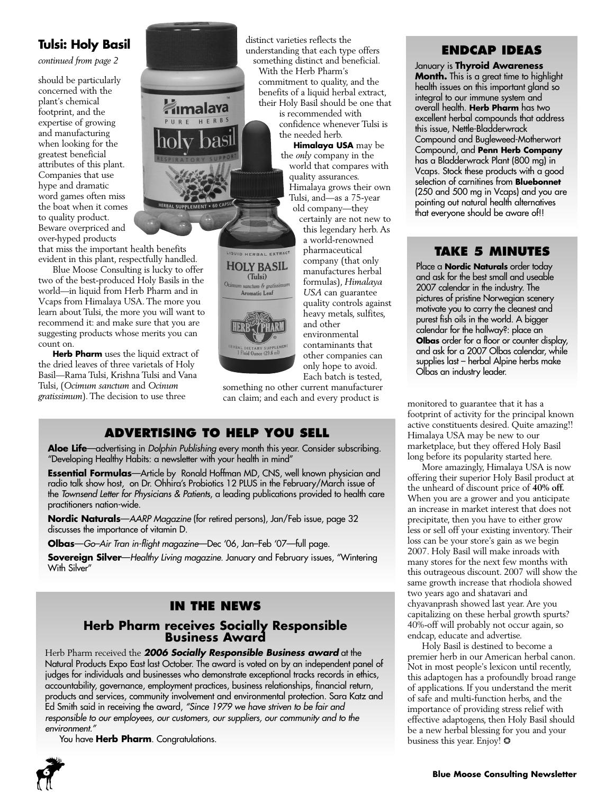# **Tulsi: Holy Basil**

*continued from page 2*

should be particularly concerned with the plant's chemical footprint, and the expertise of growing and manufacturing when looking for the greatest beneficial attributes of this plant. Companies that use hype and dramatic word games often miss the boat when it comes to quality product. Beware overpriced and over-hyped products

that miss the important health benefits evident in this plant, respectfully handled.

Blue Moose Consulting is lucky to offer two of the best-produced Holy Basils in the world—in liquid from Herb Pharm and in Vcaps from Himalaya USA. The more you learn about Tulsi, the more you will want to recommend it: and make sure that you are suggesting products whose merits you can count on.

**Herb Pharm** uses the liquid extract of the dried leaves of three varietals of Holy Basil—Rama Tulsi, Krishna Tulsi and Vana Tulsi, (*Ocimum sanctum* and *Ocinum gratissimum*). The decision to use three



distinct varieties reflects the understanding that each type offers something distinct and beneficial. With the Herb Pharm's commitment to quality, and the

benefits of a liquid herbal extract, their Holy Basil should be one that is recommended with

confidence whenever Tulsi is the needed herb.

**Himalaya USA** may be the *only* company in the world that compares with quality assurances. Himalaya grows their own Tulsi, and—as a 75-year old company—they

certainly are not new to this legendary herb. As a world-renowned pharmaceutical company (that only manufactures herbal formulas), *Himalaya USA* can guarantee quality controls against heavy metals, sulfites, and other environmental contaminants that other companies can only hope to avoid. Each batch is tested,

something no other current manufacturer can claim; and each and every product is monitored to guarantee that it has a

(Tulsi) Ocimum sanctum & grati Aromatic Leaf

BAL DIETARY SUPPLEM<br>1 Fluid Qunce (29.6 ml)

# **ADVERTISING TO HELP YOU SELL**

**Aloe Life**—advertising in *Dolphin Publishing* every month this year. Consider subscribing. "Developing Healthy Habits: a newsletter with your health in mind"

**Essential Formulas**—Article by Ronald Hoffman MD, CNS, well known physician and radio talk show host, on Dr. Ohhira's Probiotics 12 PLUS in the February/March issue of the *Townsend Letter for Physicians & Patients*, a leading publications provided to health care practitioners nation-wide.

**Nordic Naturals**—*AARP Magazine* (for retired persons), Jan/Feb issue, page 32 discusses the importance of vitamin D.

**Olbas**—*Go–Air Tran in-flight magazine*—Dec '06, Jan–Feb '07—full page.

**Sovereign Silver**—*Healthy Living magazine*. January and February issues, "Wintering With Silver"

# **IN THE NEWS**

# **Herb Pharm receives Socially Responsible Business Award**

Herb Pharm received the *2006 Socially Responsible Business award* at the Natural Products Expo East last October. The award is voted on by an independent panel of judges for individuals and businesses who demonstrate exceptional tracks records in ethics, accountability, governance, employment practices, business relationships, financial return, products and services, community involvement and environmental protection. Sara Katz and Ed Smith said in receiving the award, *"Since 1979 we have striven to be fair and responsible to our employees, our customers, our suppliers, our community and to the environment."*

You have **Herb Pharm**. Congratulations.



# **ENDCAP IDEAS**

January is **Thyroid Awareness Month.** This is a great time to highlight health issues on this important gland so integral to our immune system and overall health. **Herb Pharm** has two excellent herbal compounds that address this issue, Nettle-Bladderwrack Compound and Bugleweed-Motherwort Compound, and **Penn Herb Company** has a Bladderwrack Plant (800 mg) in Vcaps. Stock these products with a good selection of carnitines from **Bluebonnet** (250 and 500 mg in Vcaps) and you are pointing out natural health alternatives that everyone should be aware of!!

# **TAKE 5 MINUTES**

Place a **Nordic Naturals** order today and ask for the best small and useable 2007 calendar in the industry. The pictures of pristine Norwegian scenery motivate you to carry the cleanest and purest fish oils in the world. A bigger calendar for the hallway?: place an **Olbas** order for a floor or counter display, and ask for a 2007 Olbas calendar, while supplies last – herbal Alpine herbs make Olbas an industry leader.

footprint of activity for the principal known active constituents desired. Quite amazing!! Himalaya USA may be new to our marketplace, but they offered Holy Basil long before its popularity started here.

More amazingly, Himalaya USA is now offering their superior Holy Basil product at the unheard of discount price of **40% off.** When you are a grower and you anticipate an increase in market interest that does not precipitate, then you have to either grow less or sell off your existing inventory. Their loss can be your store's gain as we begin 2007. Holy Basil will make inroads with many stores for the next few months with this outrageous discount. 2007 will show the same growth increase that rhodiola showed two years ago and shatavari and chyavanprash showed last year. Are you capitalizing on these herbal growth spurts? 40%-off will probably not occur again, so endcap, educate and advertise.

Holy Basil is destined to become a premier herb in our American herbal canon. Not in most people's lexicon until recently, this adaptogen has a profoundly broad range of applications. If you understand the merit of safe and multi-function herbs, and the importance of providing stress relief with effective adaptogens, then Holy Basil should be a new herbal blessing for you and your business this year. Enjoy! ❂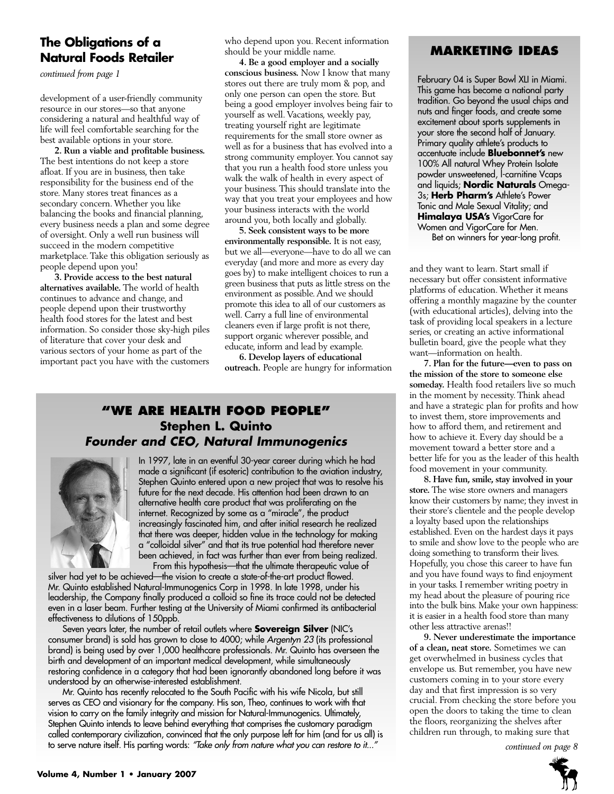# **The Obligations of a Natural Foods Retailer**

*continued from page 1*

development of a user-friendly community resource in our stores—so that anyone considering a natural and healthful way of life will feel comfortable searching for the best available options in your store.

**2. Run a viable and profitable business.** The best intentions do not keep a store afloat. If you are in business, then take responsibility for the business end of the store. Many stores treat finances as a secondary concern. Whether you like balancing the books and financial planning, every business needs a plan and some degree of oversight. Only a well run business will succeed in the modern competitive marketplace. Take this obligation seriously as people depend upon you!

**3. Provide access to the best natural alternatives available.** The world of health continues to advance and change, and people depend upon their trustworthy health food stores for the latest and best information. So consider those sky-high piles of literature that cover your desk and various sectors of your home as part of the important pact you have with the customers who depend upon you. Recent information should be your middle name.

**4. Be a good employer and a socially conscious business.** Now I know that many stores out there are truly mom & pop, and only one person can open the store. But being a good employer involves being fair to yourself as well. Vacations, weekly pay, treating yourself right are legitimate requirements for the small store owner as well as for a business that has evolved into a strong community employer. You cannot say that you run a health food store unless you walk the walk of health in every aspect of your business. This should translate into the way that you treat your employees and how your business interacts with the world around you, both locally and globally.

**5. Seek consistent ways to be more environmentally responsible.** It is not easy, but we all—everyone—have to do all we can everyday (and more and more as every day goes by) to make intelligent choices to run a green business that puts as little stress on the environment as possible. And we should promote this idea to all of our customers as well. Carry a full line of environmental cleaners even if large profit is not there, support organic wherever possible, and educate, inform and lead by example.

**6. Develop layers of educational outreach.** People are hungry for information

# **"WE ARE HEALTH FOOD PEOPLE" Stephen L. Quinto** *Founder and CEO, Natural Immunogenics*



In 1997, late in an eventful 30-year career during which he had made a significant (if esoteric) contribution to the aviation industry, Stephen Quinto entered upon a new project that was to resolve his future for the next decade. His attention had been drawn to an alternative health care product that was proliferating on the internet. Recognized by some as a "miracle", the product increasingly fascinated him, and after initial research he realized that there was deeper, hidden value in the technology for making a "colloidal silver" and that its true potential had therefore never been achieved, in fact was further than ever from being realized. From this hypothesis—that the ultimate therapeutic value of

silver had yet to be achieved—the vision to create a state-of-the-art product flowed. Mr. Quinto established Natural-Immunogenics Corp in 1998. In late 1998, under his leadership, the Company finally produced a colloid so fine its trace could not be detected even in a laser beam. Further testing at the University of Miami confirmed its antibacterial effectiveness to dilutions of 150ppb.

Seven years later, the number of retail outlets where **Sovereign Silver** (NIC's consumer brand) is sold has grown to close to 4000; while *Argentyn 23* (its professional brand) is being used by over 1,000 healthcare professionals. Mr. Quinto has overseen the birth and development of an important medical development, while simultaneously restoring confidence in a category that had been ignorantly abandoned long before it was understood by an otherwise-interested establishment.

Mr. Quinto has recently relocated to the South Pacific with his wife Nicola, but still serves as CEO and visionary for the company. His son, Theo, continues to work with that vision to carry on the family integrity and mission for Natural-Immunogenics. Ultimately, Stephen Quinto intends to leave behind everything that comprises the customary paradigm called contemporary civilization, convinced that the only purpose left for him (and for us all) is to serve nature itself. His parting words: *"Take only from nature what you can restore to it..."*

# **MARKETING IDEAS**

February 04 is Super Bowl XLI in Miami. This game has become a national party tradition. Go beyond the usual chips and nuts and finger foods, and create some excitement about sports supplements in your store the second half of January. Primary quality athlete's products to accentuate include **Bluebonnet's** new 100% All natural Whey Protein Isolate powder unsweetened, l-carnitine Vcaps and liquids; **Nordic Naturals** Omega-3s; **Herb Pharm's** Athlete's Power Tonic and Male Sexual Vitality; and **Himalaya USA's** VigorCare for Women and VigorCare for Men. Bet on winners for year-long profit.

and they want to learn. Start small if necessary but offer consistent informative platforms of education. Whether it means offering a monthly magazine by the counter (with educational articles), delving into the task of providing local speakers in a lecture series, or creating an active informational bulletin board, give the people what they want—information on health.

**7. Plan for the future—even to pass on the mission of the store to someone else someday.** Health food retailers live so much in the moment by necessity. Think ahead and have a strategic plan for profits and how to invest them, store improvements and how to afford them, and retirement and how to achieve it. Every day should be a movement toward a better store and a better life for you as the leader of this health food movement in your community.

**8. Have fun, smile, stay involved in your store.** The wise store owners and managers know their customers by name; they invest in their store's clientele and the people develop a loyalty based upon the relationships established. Even on the hardest days it pays to smile and show love to the people who are doing something to transform their lives. Hopefully, you chose this career to have fun and you have found ways to find enjoyment in your tasks. I remember writing poetry in my head about the pleasure of pouring rice into the bulk bins. Make your own happiness: it is easier in a health food store than many other less attractive arenas!!

**9. Never underestimate the importance of a clean, neat store.** Sometimes we can get overwhelmed in business cycles that envelope us. But remember, you have new customers coming in to your store every day and that first impression is so very crucial. From checking the store before you open the doors to taking the time to clean the floors, reorganizing the shelves after children run through, to making sure that

*continued on page 8*